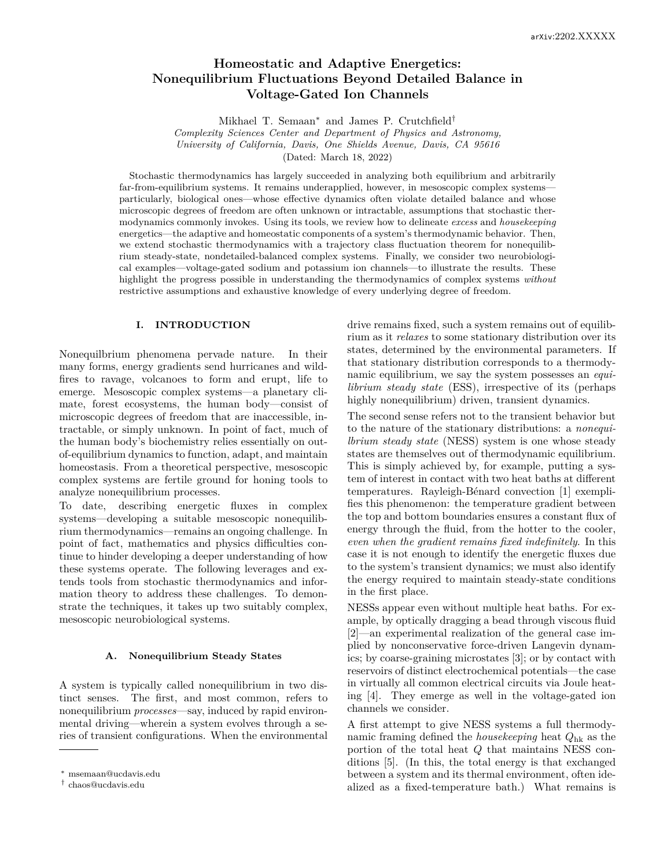# **Homeostatic and Adaptive Energetics: Nonequilibrium Fluctuations Beyond Detailed Balance in Voltage-Gated Ion Channels**

Mikhael T. Semaan<sup>∗</sup> and James P. Crutchfield†

*Complexity Sciences Center and Department of Physics and Astronomy,*

*University of California, Davis, One Shields Avenue, Davis, CA 95616*

(Dated: March 18, 2022)

Stochastic thermodynamics has largely succeeded in analyzing both equilibrium and arbitrarily far-from-equilibrium systems. It remains underapplied, however, in mesoscopic complex systems particularly, biological ones—whose effective dynamics often violate detailed balance and whose microscopic degrees of freedom are often unknown or intractable, assumptions that stochastic thermodynamics commonly invokes. Using its tools, we review how to delineate *excess* and *housekeeping* energetics—the adaptive and homeostatic components of a system's thermodynamic behavior. Then, we extend stochastic thermodynamics with a trajectory class fluctuation theorem for nonequilibrium steady-state, nondetailed-balanced complex systems. Finally, we consider two neurobiological examples—voltage-gated sodium and potassium ion channels—to illustrate the results. These highlight the progress possible in understanding the thermodynamics of complex systems *without* restrictive assumptions and exhaustive knowledge of every underlying degree of freedom.

# **I. INTRODUCTION**

Nonequilbrium phenomena pervade nature. In their many forms, energy gradients send hurricanes and wildfires to ravage, volcanoes to form and erupt, life to emerge. Mesoscopic complex systems—a planetary climate, forest ecosystems, the human body—consist of microscopic degrees of freedom that are inaccessible, intractable, or simply unknown. In point of fact, much of the human body's biochemistry relies essentially on outof-equilibrium dynamics to function, adapt, and maintain homeostasis. From a theoretical perspective, mesoscopic complex systems are fertile ground for honing tools to analyze nonequilibrium processes.

To date, describing energetic fluxes in complex systems—developing a suitable mesoscopic nonequilibrium thermodynamics—remains an ongoing challenge. In point of fact, mathematics and physics difficulties continue to hinder developing a deeper understanding of how these systems operate. The following leverages and extends tools from stochastic thermodynamics and information theory to address these challenges. To demonstrate the techniques, it takes up two suitably complex, mesoscopic neurobiological systems.

# **A. Nonequilibrium Steady States**

A system is typically called nonequilibrium in two distinct senses. The first, and most common, refers to nonequilibrium *processes*—say, induced by rapid environmental driving—wherein a system evolves through a series of transient configurations. When the environmental drive remains fixed, such a system remains out of equilibrium as it *relaxes* to some stationary distribution over its states, determined by the environmental parameters. If that stationary distribution corresponds to a thermodynamic equilibrium, we say the system possesses an *equilibrium steady state* (ESS), irrespective of its (perhaps highly nonequilibrium) driven, transient dynamics.

The second sense refers not to the transient behavior but to the nature of the stationary distributions: a *nonequilbrium steady state* (NESS) system is one whose steady states are themselves out of thermodynamic equilibrium. This is simply achieved by, for example, putting a system of interest in contact with two heat baths at different temperatures. Rayleigh-Bénard convection [1] exemplifies this phenomenon: the temperature gradient between the top and bottom boundaries ensures a constant flux of energy through the fluid, from the hotter to the cooler, *even when the gradient remains fixed indefinitely*. In this case it is not enough to identify the energetic fluxes due to the system's transient dynamics; we must also identify the energy required to maintain steady-state conditions in the first place.

NESSs appear even without multiple heat baths. For example, by optically dragging a bead through viscous fluid [2]—an experimental realization of the general case implied by nonconservative force-driven Langevin dynamics; by coarse-graining microstates [3]; or by contact with reservoirs of distinct electrochemical potentials—the case in virtually all common electrical circuits via Joule heating [4]. They emerge as well in the voltage-gated ion channels we consider.

A first attempt to give NESS systems a full thermodynamic framing defined the *housekeeping* heat *Q*hk as the portion of the total heat *Q* that maintains NESS conditions [5]. (In this, the total energy is that exchanged between a system and its thermal environment, often idealized as a fixed-temperature bath.) What remains is

<sup>∗</sup> msemaan@ucdavis.edu

<sup>†</sup> chaos@ucdavis.edu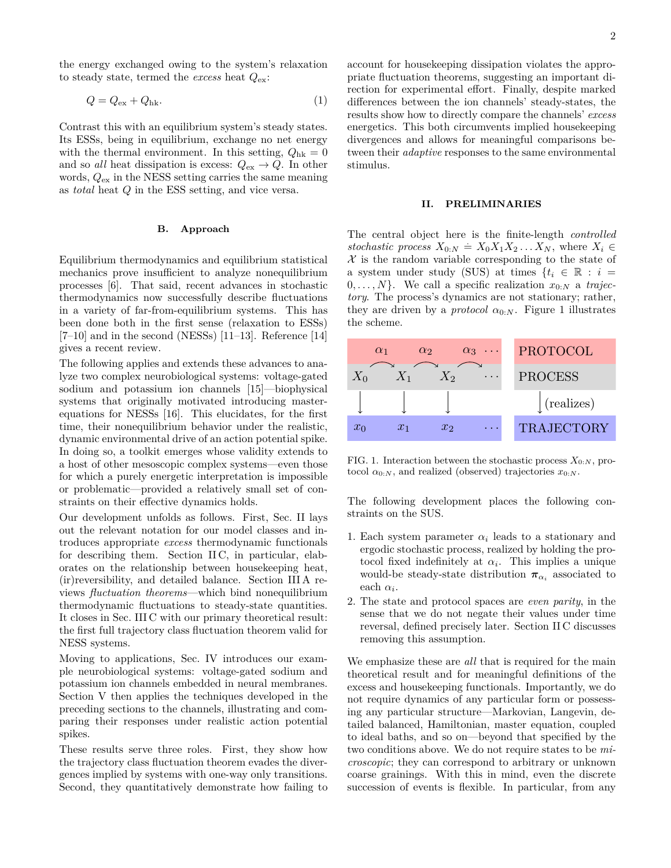the energy exchanged owing to the system's relaxation to steady state, termed the *excess* heat *Q*ex:

$$
Q = Q_{\text{ex}} + Q_{\text{hk}}.\tag{1}
$$

Contrast this with an equilibrium system's steady states. Its ESSs, being in equilibrium, exchange no net energy with the thermal environment. In this setting,  $Q_{hk} = 0$ and so *all* heat dissipation is excess:  $Q_{\text{ex}} \to Q$ . In other words, *Q*ex in the NESS setting carries the same meaning as *total* heat *Q* in the ESS setting, and vice versa.

# **B. Approach**

Equilibrium thermodynamics and equilibrium statistical mechanics prove insufficient to analyze nonequilibrium processes [6]. That said, recent advances in stochastic thermodynamics now successfully describe fluctuations in a variety of far-from-equilibrium systems. This has been done both in the first sense (relaxation to ESSs)  $[7–10]$  and in the second (NESSs)  $[11–13]$ . Reference  $[14]$ gives a recent review.

The following applies and extends these advances to analyze two complex neurobiological systems: voltage-gated sodium and potassium ion channels [15]—biophysical systems that originally motivated introducing masterequations for NESSs [16]. This elucidates, for the first time, their nonequilibrium behavior under the realistic, dynamic environmental drive of an action potential spike. In doing so, a toolkit emerges whose validity extends to a host of other mesoscopic complex systems—even those for which a purely energetic interpretation is impossible or problematic—provided a relatively small set of constraints on their effective dynamics holds.

Our development unfolds as follows. First, Sec. II lays out the relevant notation for our model classes and introduces appropriate *excess* thermodynamic functionals for describing them. Section II C, in particular, elaborates on the relationship between housekeeping heat, (ir)reversibility, and detailed balance. Section III A reviews *fluctuation theorems*—which bind nonequilibrium thermodynamic fluctuations to steady-state quantities. It closes in Sec. III C with our primary theoretical result: the first full trajectory class fluctuation theorem valid for NESS systems.

Moving to applications, Sec. IV introduces our example neurobiological systems: voltage-gated sodium and potassium ion channels embedded in neural membranes. Section V then applies the techniques developed in the preceding sections to the channels, illustrating and comparing their responses under realistic action potential spikes.

These results serve three roles. First, they show how the trajectory class fluctuation theorem evades the divergences implied by systems with one-way only transitions. Second, they quantitatively demonstrate how failing to account for housekeeping dissipation violates the appropriate fluctuation theorems, suggesting an important direction for experimental effort. Finally, despite marked differences between the ion channels' steady-states, the results show how to directly compare the channels' *excess* energetics. This both circumvents implied housekeeping divergences and allows for meaningful comparisons between their *adaptive* responses to the same environmental stimulus.

### **II. PRELIMINARIES**

The central object here is the finite-length *controlled stochastic process*  $X_{0:N} = X_0 X_1 X_2 \dots X_N$ , where  $X_i \in$  $\mathcal X$  is the random variable corresponding to the state of a system under study (SUS) at times  $\{t_i \in \mathbb{R} : i =$  $0, \ldots, N$ . We call a specific realization  $x_{0:N}$  a *trajectory*. The process's dynamics are not stationary; rather, they are driven by a *protocol*  $\alpha_{0:N}$ . Figure 1 illustrates the scheme.



FIG. 1. Interaction between the stochastic process  $X_{0:N}$ , protocol  $\alpha_{0:N}$ , and realized (observed) trajectories  $x_{0:N}$ .

The following development places the following constraints on the SUS.

- 1. Each system parameter  $\alpha_i$  leads to a stationary and ergodic stochastic process, realized by holding the protocol fixed indefinitely at  $\alpha_i$ . This implies a unique would-be steady-state distribution  $\pi_{\alpha_i}$  associated to each  $\alpha_i$ .
- 2. The state and protocol spaces are *even parity*, in the sense that we do not negate their values under time reversal, defined precisely later. Section II C discusses removing this assumption.

We emphasize these are *all* that is required for the main theoretical result and for meaningful definitions of the excess and housekeeping functionals. Importantly, we do not require dynamics of any particular form or possessing any particular structure—Markovian, Langevin, detailed balanced, Hamiltonian, master equation, coupled to ideal baths, and so on—beyond that specified by the two conditions above. We do not require states to be *microscopic*; they can correspond to arbitrary or unknown coarse grainings. With this in mind, even the discrete succession of events is flexible. In particular, from any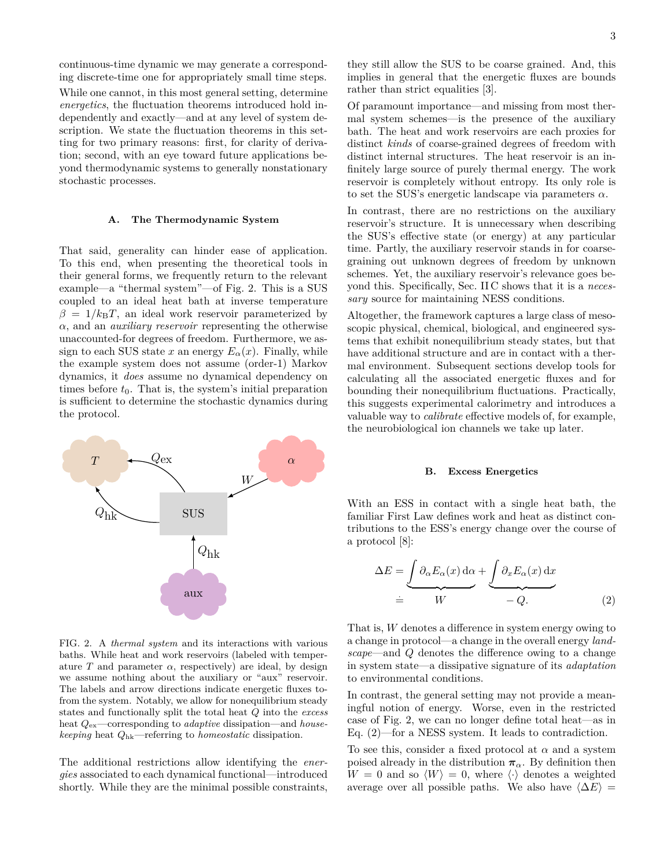continuous-time dynamic we may generate a corresponding discrete-time one for appropriately small time steps. While one cannot, in this most general setting, determine *energetics*, the fluctuation theorems introduced hold independently and exactly—and at any level of system description. We state the fluctuation theorems in this setting for two primary reasons: first, for clarity of derivation; second, with an eye toward future applications beyond thermodynamic systems to generally nonstationary stochastic processes.

#### **A. The Thermodynamic System**

That said, generality can hinder ease of application. To this end, when presenting the theoretical tools in their general forms, we frequently return to the relevant example—a "thermal system"—of Fig. 2. This is a SUS coupled to an ideal heat bath at inverse temperature  $\beta = 1/k_B T$ , an ideal work reservoir parameterized by *α*, and an *auxiliary reservoir* representing the otherwise unaccounted-for degrees of freedom. Furthermore, we assign to each SUS state *x* an energy  $E_\alpha(x)$ . Finally, while the example system does not assume (order-1) Markov dynamics, it *does* assume no dynamical dependency on times before  $t_0$ . That is, the system's initial preparation is sufficient to determine the stochastic dynamics during the protocol.



FIG. 2. A *thermal system* and its interactions with various baths. While heat and work reservoirs (labeled with temperature  $T$  and parameter  $\alpha$ , respectively) are ideal, by design we assume nothing about the auxiliary or "aux" reservoir. The labels and arrow directions indicate energetic fluxes tofrom the system. Notably, we allow for nonequilibrium steady states and functionally split the total heat *Q* into the *excess* heat *Q*ex—corresponding to *adaptive* dissipation—and *housekeeping* heat *Q*hk—referring to *homeostatic* dissipation.

The additional restrictions allow identifying the *energies* associated to each dynamical functional—introduced shortly. While they are the minimal possible constraints,

they still allow the SUS to be coarse grained. And, this implies in general that the energetic fluxes are bounds rather than strict equalities [3].

Of paramount importance—and missing from most thermal system schemes—is the presence of the auxiliary bath. The heat and work reservoirs are each proxies for distinct *kinds* of coarse-grained degrees of freedom with distinct internal structures. The heat reservoir is an infinitely large source of purely thermal energy. The work reservoir is completely without entropy. Its only role is to set the SUS's energetic landscape via parameters *α*.

In contrast, there are no restrictions on the auxiliary reservoir's structure. It is unnecessary when describing the SUS's effective state (or energy) at any particular time. Partly, the auxiliary reservoir stands in for coarsegraining out unknown degrees of freedom by unknown schemes. Yet, the auxiliary reservoir's relevance goes beyond this. Specifically, Sec. II C shows that it is a *necessary* source for maintaining NESS conditions.

Altogether, the framework captures a large class of mesoscopic physical, chemical, biological, and engineered systems that exhibit nonequilibrium steady states, but that have additional structure and are in contact with a thermal environment. Subsequent sections develop tools for calculating all the associated energetic fluxes and for bounding their nonequilibrium fluctuations. Practically, this suggests experimental calorimetry and introduces a valuable way to *calibrate* effective models of, for example, the neurobiological ion channels we take up later.

#### **B. Excess Energetics**

With an ESS in contact with a single heat bath, the familiar First Law defines work and heat as distinct contributions to the ESS's energy change over the course of a protocol [8]:

$$
\Delta E = \underbrace{\int \partial_{\alpha} E_{\alpha}(x) \, d\alpha}_{= W} + \underbrace{\int \partial_{x} E_{\alpha}(x) \, dx}_{= Q.}
$$
\n(2)

That is, *W* denotes a difference in system energy owing to a change in protocol—a change in the overall energy *landscape*—and *Q* denotes the difference owing to a change in system state—a dissipative signature of its *adaptation* to environmental conditions.

In contrast, the general setting may not provide a meaningful notion of energy. Worse, even in the restricted case of Fig. 2, we can no longer define total heat—as in Eq. (2)—for a NESS system. It leads to contradiction.

To see this, consider a fixed protocol at  $\alpha$  and a system poised already in the distribution  $\pi_{\alpha}$ . By definition then  $W = 0$  and so  $\langle W \rangle = 0$ , where  $\langle \cdot \rangle$  denotes a weighted average over all possible paths. We also have  $\langle \Delta E \rangle$  =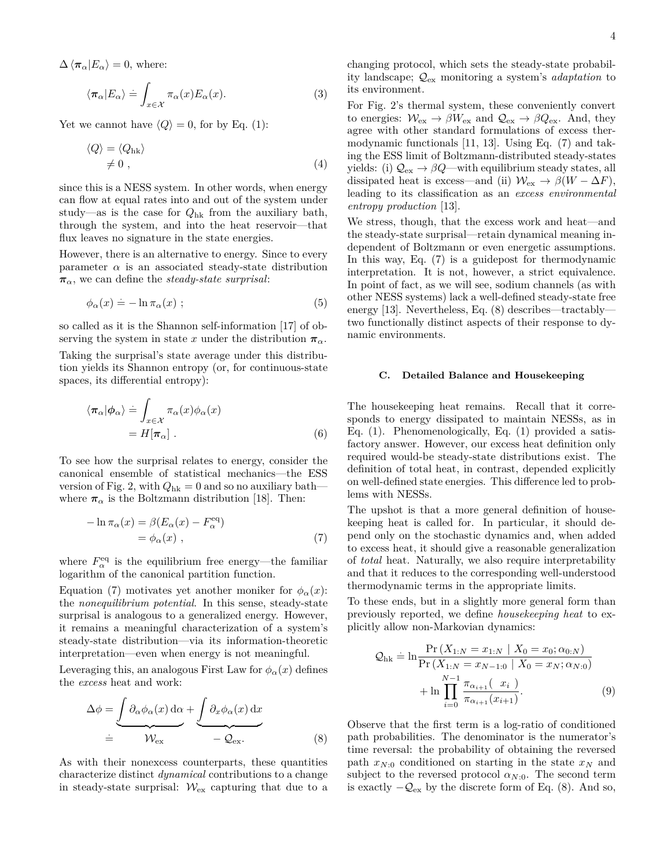$\Delta \langle \pi_\alpha | E_\alpha \rangle = 0$ , where:

$$
\langle \pi_{\alpha} | E_{\alpha} \rangle = \int_{x \in \mathcal{X}} \pi_{\alpha}(x) E_{\alpha}(x). \tag{3}
$$

Yet we cannot have  $\langle Q \rangle = 0$ , for by Eq. (1):

$$
\langle Q \rangle = \langle Q_{hk} \rangle \neq 0 , \qquad (4)
$$

since this is a NESS system. In other words, when energy can flow at equal rates into and out of the system under study—as is the case for *Q*hk from the auxiliary bath, through the system, and into the heat reservoir—that flux leaves no signature in the state energies.

However, there is an alternative to energy. Since to every parameter  $\alpha$  is an associated steady-state distribution  $\pi_{\alpha}$ , we can define the *steady-state surprisal*:

$$
\phi_{\alpha}(x) = -\ln \pi_{\alpha}(x) ; \qquad (5)
$$

so called as it is the Shannon self-information [17] of observing the system in state *x* under the distribution  $\pi_{\alpha}$ .

Taking the surprisal's state average under this distribution yields its Shannon entropy (or, for continuous-state spaces, its differential entropy):

$$
\langle \pi_{\alpha} | \phi_{\alpha} \rangle \doteq \int_{x \in \mathcal{X}} \pi_{\alpha}(x) \phi_{\alpha}(x) \n= H[\pi_{\alpha}].
$$
\n(6)

To see how the surprisal relates to energy, consider the canonical ensemble of statistical mechanics—the ESS version of Fig. 2, with  $Q_{hk} = 0$  and so no auxiliary bath where  $\pi_{\alpha}$  is the Boltzmann distribution [18]. Then:

$$
-\ln \pi_{\alpha}(x) = \beta (E_{\alpha}(x) - F_{\alpha}^{\text{eq}})
$$
  
=  $\phi_{\alpha}(x)$ , (7)

where  $F_{\alpha}^{\text{eq}}$  is the equilibrium free energy—the familiar logarithm of the canonical partition function.

Equation (7) motivates yet another moniker for  $\phi_{\alpha}(x)$ : the *nonequilibrium potential*. In this sense, steady-state surprisal is analogous to a generalized energy. However, it remains a meaningful characterization of a system's steady-state distribution—via its information-theoretic interpretation—even when energy is not meaningful.

Leveraging this, an analogous First Law for  $\phi_{\alpha}(x)$  defines the *excess* heat and work:

$$
\Delta \phi = \underbrace{\int \partial_{\alpha} \phi_{\alpha}(x) \, d\alpha}_{\doteq \mathcal{W}_{\text{ex}}} + \underbrace{\int \partial_{x} \phi_{\alpha}(x) \, dx}_{\doteq \mathcal{Q}_{\text{ex}}} \tag{8}
$$

As with their nonexcess counterparts, these quantities characterize distinct *dynamical* contributions to a change in steady-state surprisal:  $W_{\rm ex}$  capturing that due to a changing protocol, which sets the steady-state probability landscape; Qex monitoring a system's *adaptation* to its environment.

For Fig. 2's thermal system, these conveniently convert to energies:  $\mathcal{W}_{\rm ex} \to \beta W_{\rm ex}$  and  $\mathcal{Q}_{\rm ex} \to \beta Q_{\rm ex}$ . And, they agree with other standard formulations of excess thermodynamic functionals [11, 13]. Using Eq. (7) and taking the ESS limit of Boltzmann-distributed steady-states yields: (i)  $\mathcal{Q}_{\text{ex}} \to \beta Q$ —with equilibrium steady states, all dissipated heat is excess—and (ii)  $\mathcal{W}_{\text{ex}} \to \beta(W - \Delta F)$ , leading to its classification as an *excess environmental entropy production* [13].

We stress, though, that the excess work and heat—and the steady-state surprisal—retain dynamical meaning independent of Boltzmann or even energetic assumptions. In this way, Eq. (7) is a guidepost for thermodynamic interpretation. It is not, however, a strict equivalence. In point of fact, as we will see, sodium channels (as with other NESS systems) lack a well-defined steady-state free energy [13]. Nevertheless, Eq. (8) describes—tractably two functionally distinct aspects of their response to dynamic environments.

## **C. Detailed Balance and Housekeeping**

The housekeeping heat remains. Recall that it corresponds to energy dissipated to maintain NESSs, as in Eq. (1). Phenomenologically, Eq. (1) provided a satisfactory answer. However, our excess heat definition only required would-be steady-state distributions exist. The definition of total heat, in contrast, depended explicitly on well-defined state energies. This difference led to problems with NESSs.

The upshot is that a more general definition of housekeeping heat is called for. In particular, it should depend only on the stochastic dynamics and, when added to excess heat, it should give a reasonable generalization of *total* heat. Naturally, we also require interpretability and that it reduces to the corresponding well-understood thermodynamic terms in the appropriate limits.

To these ends, but in a slightly more general form than previously reported, we define *housekeeping heat* to explicitly allow non-Markovian dynamics:

$$
\mathcal{Q}_{hk} = \ln \frac{\Pr(X_{1:N} = x_{1:N} \mid X_0 = x_0; \alpha_{0:N})}{\Pr(X_{1:N} = x_{N-1:0} \mid X_0 = x_N; \alpha_{N:0})} + \ln \prod_{i=0}^{N-1} \frac{\pi_{\alpha_{i+1}}(x_i)}{\pi_{\alpha_{i+1}}(x_{i+1})}.
$$
\n(9)

Observe that the first term is a log-ratio of conditioned path probabilities. The denominator is the numerator's time reversal: the probability of obtaining the reversed path  $x_{N:0}$  conditioned on starting in the state  $x_N$  and subject to the reversed protocol  $\alpha_{N:0}$ . The second term is exactly  $-\mathcal{Q}_{\text{ex}}$  by the discrete form of Eq. (8). And so,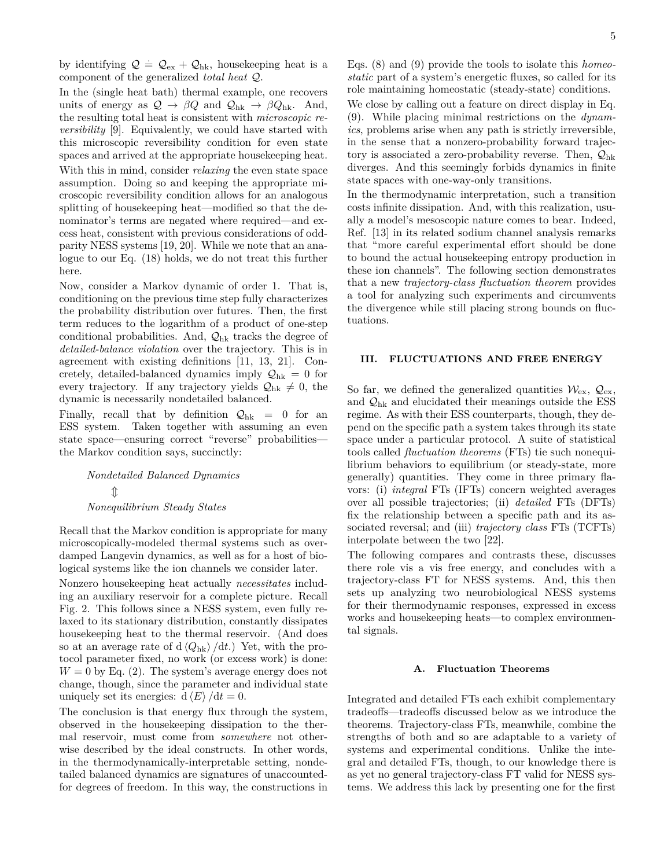by identifying  $Q = Q_{\text{ex}} + Q_{\text{hk}}$ , housekeeping heat is a component of the generalized *total heat* Q.

In the (single heat bath) thermal example, one recovers units of energy as  $Q \to \beta Q$  and  $Q_{hk} \to \beta Q_{hk}$ . And, the resulting total heat is consistent with *microscopic reversibility* [9]. Equivalently, we could have started with this microscopic reversibility condition for even state spaces and arrived at the appropriate housekeeping heat.

With this in mind, consider *relaxing* the even state space assumption. Doing so and keeping the appropriate microscopic reversibility condition allows for an analogous splitting of housekeeping heat—modified so that the denominator's terms are negated where required—and excess heat, consistent with previous considerations of oddparity NESS systems [19, 20]. While we note that an analogue to our Eq. (18) holds, we do not treat this further here.

Now, consider a Markov dynamic of order 1. That is, conditioning on the previous time step fully characterizes the probability distribution over futures. Then, the first term reduces to the logarithm of a product of one-step conditional probabilities. And,  $\mathcal{Q}_{hk}$  tracks the degree of *detailed-balance violation* over the trajectory. This is in agreement with existing definitions [11, 13, 21]. Concretely, detailed-balanced dynamics imply  $\mathcal{Q}_{hk} = 0$  for every trajectory. If any trajectory yields  $\mathcal{Q}_{hk} \neq 0$ , the dynamic is necessarily nondetailed balanced.

Finally, recall that by definition  $Q_{hk} = 0$  for an ESS system. Taken together with assuming an even state space—ensuring correct "reverse" probabilities the Markov condition says, succinctly:

> *Nondetailed Balanced Dynamics*  $\mathbb T$ *Nonequilibrium Steady States*

Recall that the Markov condition is appropriate for many microscopically-modeled thermal systems such as overdamped Langevin dynamics, as well as for a host of biological systems like the ion channels we consider later.

Nonzero housekeeping heat actually *necessitates* including an auxiliary reservoir for a complete picture. Recall Fig. 2. This follows since a NESS system, even fully relaxed to its stationary distribution, constantly dissipates housekeeping heat to the thermal reservoir. (And does so at an average rate of  $d \langle Q_{hk} \rangle / dt$ .) Yet, with the protocol parameter fixed, no work (or excess work) is done:  $W = 0$  by Eq. (2). The system's average energy does not change, though, since the parameter and individual state uniquely set its energies:  $d \langle E \rangle / dt = 0$ .

The conclusion is that energy flux through the system, observed in the housekeeping dissipation to the thermal reservoir, must come from *somewhere* not otherwise described by the ideal constructs. In other words, in the thermodynamically-interpretable setting, nondetailed balanced dynamics are signatures of unaccountedfor degrees of freedom. In this way, the constructions in Eqs. (8) and (9) provide the tools to isolate this *homeostatic* part of a system's energetic fluxes, so called for its role maintaining homeostatic (steady-state) conditions.

We close by calling out a feature on direct display in Eq. (9). While placing minimal restrictions on the *dynamics*, problems arise when any path is strictly irreversible, in the sense that a nonzero-probability forward trajectory is associated a zero-probability reverse. Then,  $\mathcal{Q}_{hk}$ diverges. And this seemingly forbids dynamics in finite state spaces with one-way-only transitions.

In the thermodynamic interpretation, such a transition costs infinite dissipation. And, with this realization, usually a model's mesoscopic nature comes to bear. Indeed, Ref. [13] in its related sodium channel analysis remarks that "more careful experimental effort should be done to bound the actual housekeeping entropy production in these ion channels". The following section demonstrates that a new *trajectory-class fluctuation theorem* provides a tool for analyzing such experiments and circumvents the divergence while still placing strong bounds on fluctuations.

# **III. FLUCTUATIONS AND FREE ENERGY**

So far, we defined the generalized quantities  $\mathcal{W}_{\rm ex}$ ,  $\mathcal{Q}_{\rm ex}$ , and  $\mathcal{Q}_{hk}$  and elucidated their meanings outside the ESS regime. As with their ESS counterparts, though, they depend on the specific path a system takes through its state space under a particular protocol. A suite of statistical tools called *fluctuation theorems* (FTs) tie such nonequilibrium behaviors to equilibrium (or steady-state, more generally) quantities. They come in three primary flavors: (i) *integral* FTs (IFTs) concern weighted averages over all possible trajectories; (ii) *detailed* FTs (DFTs) fix the relationship between a specific path and its associated reversal; and (iii) *trajectory class* FTs (TCFTs) interpolate between the two [22].

The following compares and contrasts these, discusses there role vis a vis free energy, and concludes with a trajectory-class FT for NESS systems. And, this then sets up analyzing two neurobiological NESS systems for their thermodynamic responses, expressed in excess works and housekeeping heats—to complex environmental signals.

# **A. Fluctuation Theorems**

Integrated and detailed FTs each exhibit complementary tradeoffs—tradeoffs discussed below as we introduce the theorems. Trajectory-class FTs, meanwhile, combine the strengths of both and so are adaptable to a variety of systems and experimental conditions. Unlike the integral and detailed FTs, though, to our knowledge there is as yet no general trajectory-class FT valid for NESS systems. We address this lack by presenting one for the first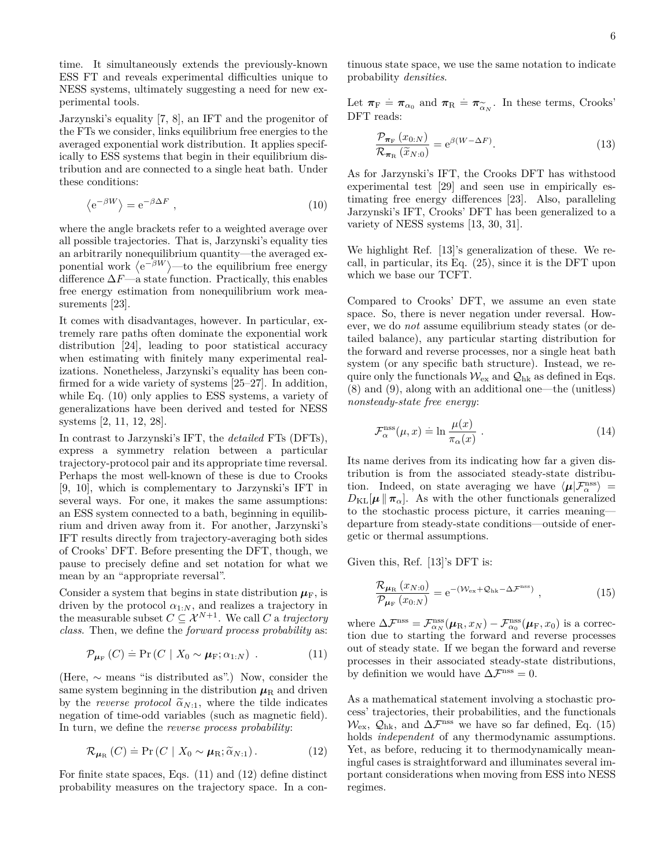time. It simultaneously extends the previously-known ESS FT and reveals experimental difficulties unique to NESS systems, ultimately suggesting a need for new experimental tools.

Jarzynski's equality [7, 8], an IFT and the progenitor of the FTs we consider, links equilibrium free energies to the averaged exponential work distribution. It applies specifically to ESS systems that begin in their equilibrium distribution and are connected to a single heat bath. Under these conditions:

$$
\langle e^{-\beta W} \rangle = e^{-\beta \Delta F} \,, \tag{10}
$$

where the angle brackets refer to a weighted average over all possible trajectories. That is, Jarzynski's equality ties an arbitrarily nonequilibrium quantity—the averaged exponential work  $\langle e^{-\beta W} \rangle$ —to the equilibrium free energy difference ∆*F*—a state function. Practically, this enables free energy estimation from nonequilibrium work measurements [23].

It comes with disadvantages, however. In particular, extremely rare paths often dominate the exponential work distribution [24], leading to poor statistical accuracy when estimating with finitely many experimental realizations. Nonetheless, Jarzynski's equality has been confirmed for a wide variety of systems [25–27]. In addition, while Eq. (10) only applies to ESS systems, a variety of generalizations have been derived and tested for NESS systems [2, 11, 12, 28].

In contrast to Jarzynski's IFT, the *detailed* FTs (DFTs), express a symmetry relation between a particular trajectory-protocol pair and its appropriate time reversal. Perhaps the most well-known of these is due to Crooks [9, 10], which is complementary to Jarzynski's IFT in several ways. For one, it makes the same assumptions: an ESS system connected to a bath, beginning in equilibrium and driven away from it. For another, Jarzynski's IFT results directly from trajectory-averaging both sides of Crooks' DFT. Before presenting the DFT, though, we pause to precisely define and set notation for what we mean by an "appropriate reversal".

Consider a system that begins in state distribution  $\mu_F$ , is driven by the protocol  $\alpha_{1:N}$ , and realizes a trajectory in the measurable subset  $C \subseteq \mathcal{X}^{N+1}$ . We call *C* a *trajectory class*. Then, we define the *forward process probability* as:

$$
\mathcal{P}_{\mu_{\mathcal{F}}}\left(C\right) = \Pr\left(C \mid X_0 \sim \mu_{\mathcal{F}}; \alpha_{1:N}\right) \tag{11}
$$

(Here, ∼ means "is distributed as".) Now, consider the same system beginning in the distribution  $\mu_R$  and driven by the *reverse protocol*  $\tilde{\alpha}_{N:1}$ , where the tilde indicates negation of time-odd variables (such as magnetic field). In turn, we define the *reverse process probability*:

$$
\mathcal{R}_{\mu_{\mathrm{R}}}\left(C\right) \doteq \Pr\left(C \mid X_0 \sim \mu_{\mathrm{R}}; \widetilde{\alpha}_{N:1}\right). \tag{12}
$$

For finite state spaces, Eqs. (11) and (12) define distinct probability measures on the trajectory space. In a con-

tinuous state space, we use the same notation to indicate probability *densities*.

Let  $\pi_F = \pi_{\alpha_0}$  and  $\pi_R = \pi_{\widetilde{\alpha}_N}$ . In these terms, Crooks'<br>DFT reads: DFT reads:

$$
\frac{\mathcal{P}_{\pi_{\mathcal{F}}}(x_{0:N})}{\mathcal{R}_{\pi_{\mathcal{R}}}(\widetilde{x}_{N:0})} = e^{\beta(W-\Delta F)}.
$$
\n(13)

As for Jarzynski's IFT, the Crooks DFT has withstood experimental test [29] and seen use in empirically estimating free energy differences [23]. Also, paralleling Jarzynski's IFT, Crooks' DFT has been generalized to a variety of NESS systems [13, 30, 31].

We highlight Ref. [13]'s generalization of these. We recall, in particular, its Eq. (25), since it is the DFT upon which we base our TCFT.

Compared to Crooks' DFT, we assume an even state space. So, there is never negation under reversal. However, we do *not* assume equilibrium steady states (or detailed balance), any particular starting distribution for the forward and reverse processes, nor a single heat bath system (or any specific bath structure). Instead, we require only the functionals  $\mathcal{W}_{\rm ex}$  and  $\mathcal{Q}_{\rm hk}$  as defined in Eqs. (8) and (9), along with an additional one—the (unitless) *nonsteady-state free energy*:

$$
\mathcal{F}_{\alpha}^{\text{ns}}(\mu, x) = \ln \frac{\mu(x)}{\pi_{\alpha}(x)} . \tag{14}
$$

Its name derives from its indicating how far a given distribution is from the associated steady-state distribution. Indeed, on state averaging we have  $\langle \mu | \mathcal{F}_{\alpha}^{\text{nss}} \rangle$  =  $D_{\text{KL}}[\mu \| \pi_{\alpha}]$ . As with the other functionals generalized to the stochastic process picture, it carries meaning departure from steady-state conditions—outside of energetic or thermal assumptions.

Given this, Ref. [13]'s DFT is:

$$
\frac{\mathcal{R}_{\mu_{\rm R}}(x_{N:0})}{\mathcal{P}_{\mu_{\rm F}}(x_{0:N})} = e^{-(\mathcal{W}_{\rm ex} + \mathcal{Q}_{\rm hk} - \Delta \mathcal{F}^{\rm nss})}, \qquad (15)
$$

where  $\Delta \mathcal{F}^{\text{nss}} = \mathcal{F}^{\text{nss}}_{\alpha_N}(\mu_R, x_N) - \mathcal{F}^{\text{nss}}_{\alpha_0}(\mu_F, x_0)$  is a correction due to starting the forward and reverse processes out of steady state. If we began the forward and reverse processes in their associated steady-state distributions, by definition we would have  $\Delta \mathcal{F}^{\text{nss}} = 0$ .

As a mathematical statement involving a stochastic process' trajectories, their probabilities, and the functionals  $\mathcal{W}_{\rm ex}$ ,  $\mathcal{Q}_{\rm hk}$ , and  $\Delta\mathcal{F}^{\rm ns}$  we have so far defined, Eq. (15) holds *independent* of any thermodynamic assumptions. Yet, as before, reducing it to thermodynamically meaningful cases is straightforward and illuminates several important considerations when moving from ESS into NESS regimes.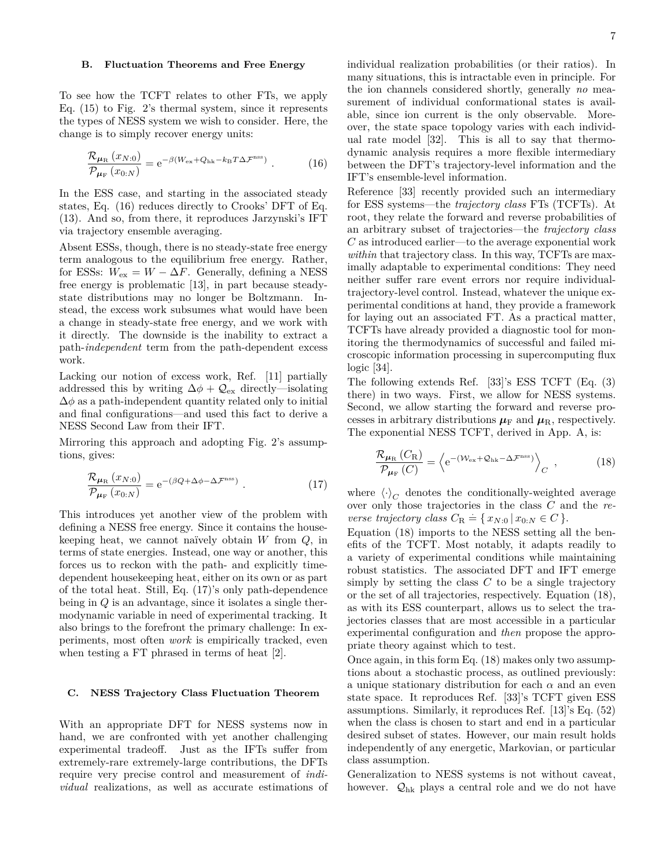#### **B. Fluctuation Theorems and Free Energy**

To see how the TCFT relates to other FTs, we apply Eq. (15) to Fig. 2's thermal system, since it represents the types of NESS system we wish to consider. Here, the change is to simply recover energy units:

$$
\frac{\mathcal{R}_{\mu_{\rm R}}\left(x_{N:0}\right)}{\mathcal{P}_{\mu_{\rm F}}\left(x_{0:N}\right)} = \mathrm{e}^{-\beta \left(W_{\rm ex} + Q_{\rm hk} - k_{\rm B} T \Delta \mathcal{F}^{\rm ns}\right)}\,. \tag{16}
$$

In the ESS case, and starting in the associated steady states, Eq. (16) reduces directly to Crooks' DFT of Eq. (13). And so, from there, it reproduces Jarzynski's IFT via trajectory ensemble averaging.

Absent ESSs, though, there is no steady-state free energy term analogous to the equilibrium free energy. Rather, for ESSs:  $W_{\text{ex}} = W - \Delta F$ . Generally, defining a NESS free energy is problematic [13], in part because steadystate distributions may no longer be Boltzmann. Instead, the excess work subsumes what would have been a change in steady-state free energy, and we work with it directly. The downside is the inability to extract a path-*independent* term from the path-dependent excess work.

Lacking our notion of excess work, Ref. [11] partially addressed this by writing  $\Delta \phi + \mathcal{Q}_{ex}$  directly—isolating  $\Delta\phi$  as a path-independent quantity related only to initial and final configurations—and used this fact to derive a NESS Second Law from their IFT.

Mirroring this approach and adopting Fig. 2's assumptions, gives:

$$
\frac{\mathcal{R}_{\mu_{\rm R}}(x_{N:0})}{\mathcal{P}_{\mu_{\rm F}}(x_{0:N})} = e^{-(\beta Q + \Delta \phi - \Delta \mathcal{F}^{\rm ns})} \ . \tag{17}
$$

This introduces yet another view of the problem with defining a NESS free energy. Since it contains the housekeeping heat, we cannot naïvely obtain *W* from *Q*, in terms of state energies. Instead, one way or another, this forces us to reckon with the path- and explicitly timedependent housekeeping heat, either on its own or as part of the total heat. Still, Eq. (17)'s only path-dependence being in *Q* is an advantage, since it isolates a single thermodynamic variable in need of experimental tracking. It also brings to the forefront the primary challenge: In experiments, most often *work* is empirically tracked, even when testing a FT phrased in terms of heat [2].

# **C. NESS Trajectory Class Fluctuation Theorem**

With an appropriate DFT for NESS systems now in hand, we are confronted with yet another challenging experimental tradeoff. Just as the IFTs suffer from extremely-rare extremely-large contributions, the DFTs require very precise control and measurement of *individual* realizations, as well as accurate estimations of individual realization probabilities (or their ratios). In many situations, this is intractable even in principle. For the ion channels considered shortly, generally *no* measurement of individual conformational states is available, since ion current is the only observable. Moreover, the state space topology varies with each individual rate model [32]. This is all to say that thermodynamic analysis requires a more flexible intermediary between the DFT's trajectory-level information and the IFT's ensemble-level information.

Reference [33] recently provided such an intermediary for ESS systems—the *trajectory class* FTs (TCFTs). At root, they relate the forward and reverse probabilities of an arbitrary subset of trajectories—the *trajectory class C* as introduced earlier—to the average exponential work within that trajectory class. In this way, TCFTs are maximally adaptable to experimental conditions: They need neither suffer rare event errors nor require individualtrajectory-level control. Instead, whatever the unique experimental conditions at hand, they provide a framework for laying out an associated FT. As a practical matter, TCFTs have already provided a diagnostic tool for monitoring the thermodynamics of successful and failed microscopic information processing in supercomputing flux logic [34].

The following extends Ref. [33]'s ESS TCFT (Eq. (3) there) in two ways. First, we allow for NESS systems. Second, we allow starting the forward and reverse processes in arbitrary distributions  $\mu_F$  and  $\mu_R$ , respectively. The exponential NESS TCFT, derived in App. A, is:

$$
\frac{\mathcal{R}_{\mu_{\rm R}}\left(C_{\rm R}\right)}{\mathcal{P}_{\mu_{\rm F}}\left(C\right)} = \left\langle e^{-(\mathcal{W}_{\rm ex} + \mathcal{Q}_{\rm hk} - \Delta \mathcal{F}^{\rm nss})} \right\rangle_C \,,\tag{18}
$$

where  $\langle \cdot \rangle_C$  denotes the conditionally-weighted average over only those trajectories in the class *C* and the *reverse trajectory class*  $C_R = \{ x_{N:0} \mid x_{0:N} \in C \}.$ 

Equation (18) imports to the NESS setting all the benefits of the TCFT. Most notably, it adapts readily to a variety of experimental conditions while maintaining robust statistics. The associated DFT and IFT emerge simply by setting the class *C* to be a single trajectory or the set of all trajectories, respectively. Equation (18), as with its ESS counterpart, allows us to select the trajectories classes that are most accessible in a particular experimental configuration and *then* propose the appropriate theory against which to test.

Once again, in this form Eq. (18) makes only two assumptions about a stochastic process, as outlined previously: a unique stationary distribution for each *α* and an even state space. It reproduces Ref. [33]'s TCFT given ESS assumptions. Similarly, it reproduces Ref. [13]'s Eq. (52) when the class is chosen to start and end in a particular desired subset of states. However, our main result holds independently of any energetic, Markovian, or particular class assumption.

Generalization to NESS systems is not without caveat, however.  $\mathcal{Q}_{hk}$  plays a central role and we do not have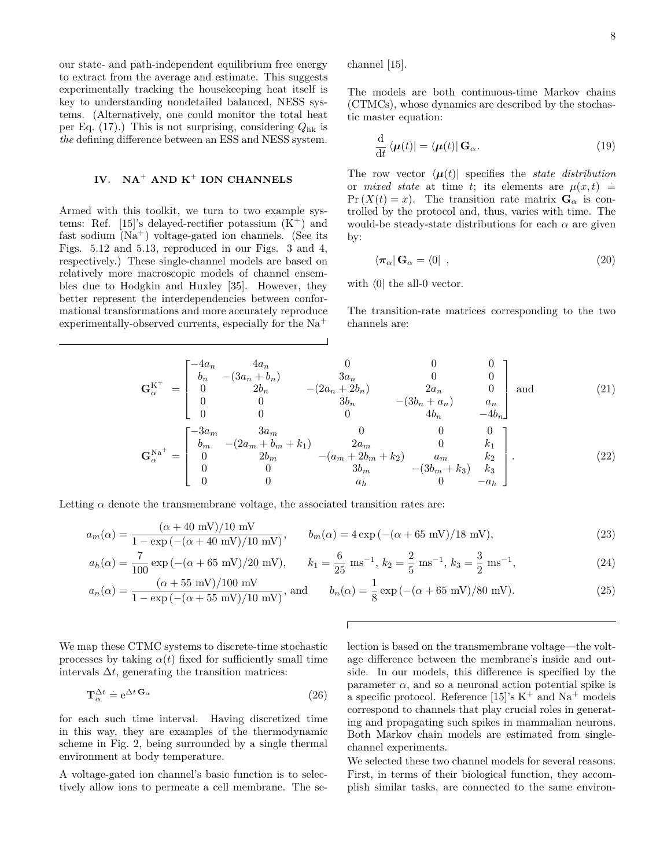our state- and path-independent equilibrium free energy to extract from the average and estimate. This suggests experimentally tracking the housekeeping heat itself is key to understanding nondetailed balanced, NESS systems. (Alternatively, one could monitor the total heat per Eq. (17).) This is not surprising, considering *Q*hk is *the* defining difference between an ESS and NESS system.

# **IV. NA**<sup>+</sup> **AND K**<sup>+</sup> **ION CHANNELS**

Armed with this toolkit, we turn to two example systems: Ref. [15]'s delayed-rectifier potassium  $(K^+)$  and fast sodium  $(Na<sup>+</sup>)$  voltage-gated ion channels. (See its Figs. 5.12 and 5.13, reproduced in our Figs. 3 and 4, respectively.) These single-channel models are based on relatively more macroscopic models of channel ensembles due to Hodgkin and Huxley [35]. However, they better represent the interdependencies between conformational transformations and more accurately reproduce experimentally-observed currents, especially for the Na<sup>+</sup>

channel [15].

The models are both continuous-time Markov chains (CTMCs), whose dynamics are described by the stochastic master equation:

$$
\frac{\mathrm{d}}{\mathrm{d}t} \langle \boldsymbol{\mu}(t) | = \langle \boldsymbol{\mu}(t) | \, \mathbf{G}_{\alpha}.\tag{19}
$$

The row vector  $\langle \mu(t) |$  specifies the *state distribution* or *mixed state* at time *t*; its elements are  $\mu(x,t)$  =  $Pr(X(t) = x)$ . The transition rate matrix  $G_\alpha$  is controlled by the protocol and, thus, varies with time. The would-be steady-state distributions for each  $\alpha$  are given by:

$$
\langle \pi_{\alpha} | \mathbf{G}_{\alpha} = \langle 0 | \, , \tag{20}
$$

with  $\langle 0|$  the all-0 vector.

The transition-rate matrices corresponding to the two channels are:

$$
\mathbf{G}_{\alpha}^{\mathbf{K}^{+}} = \begin{bmatrix}\n-4a_{n} & 4a_{n} & 0 & 0 & 0 \\
b_{n} & -(3a_{n} + b_{n}) & 3a_{n} & 0 & 0 \\
0 & 2b_{n} & -(2a_{n} + 2b_{n}) & 2a_{n} & 0 \\
0 & 0 & 3b_{n} & -(3b_{n} + a_{n}) & a_{n} \\
0 & 0 & 0 & 4b_{n} & -4b_{n}\n\end{bmatrix}
$$
 and (21)  
\n
$$
\mathbf{G}_{\alpha}^{\mathbf{N}^{\mathbf{a}^{+}}} = \begin{bmatrix}\n-3a_{m} & 3a_{m} & 0 & 0 & 0 \\
b_{m} & -(2a_{m} + b_{m} + k_{1}) & 2a_{m} & 0 & k_{1} \\
0 & 2b_{m} & -(a_{m} + 2b_{m} + k_{2}) & a_{m} & k_{2} \\
0 & 0 & 3b_{m} & -(3b_{m} + k_{3}) & k_{3} \\
0 & 0 & a_{n} & 0 & -a_{n}\n\end{bmatrix}.
$$
 (22)

Letting  $\alpha$  denote the transmembrane voltage, the associated transition rates are:

$$
a_m(\alpha) = \frac{(\alpha + 40 \text{ mV})/10 \text{ mV}}{1 - \exp\left(-(\alpha + 40 \text{ mV})/10 \text{ mV}\right)}, \qquad b_m(\alpha) = 4\exp\left(-(\alpha + 65 \text{ mV})/18 \text{ mV}\right),\tag{23}
$$

$$
a_h(\alpha) = \frac{7}{100} \exp\left(-(\alpha + 65 \text{ mV})/20 \text{ mV}\right), \qquad k_1 = \frac{6}{25} \text{ ms}^{-1}, \ k_2 = \frac{2}{5} \text{ ms}^{-1}, \ k_3 = \frac{3}{2} \text{ ms}^{-1}, \tag{24}
$$

$$
a_n(\alpha) = \frac{(\alpha + 55 \text{ mV})/100 \text{ mV}}{1 - \exp\left(-(\alpha + 55 \text{ mV})/10 \text{ mV}\right)}, \text{ and } b_n(\alpha) = \frac{1}{8} \exp\left(-(\alpha + 65 \text{ mV})/80 \text{ mV}\right).
$$
 (25)

We map these CTMC systems to discrete-time stochastic processes by taking  $\alpha(t)$  fixed for sufficiently small time intervals  $\Delta t$ , generating the transition matrices:

$$
\mathbf{T}_{\alpha}^{\Delta t} \doteq e^{\Delta t} \mathbf{G}_{\alpha} \tag{26}
$$

for each such time interval. Having discretized time in this way, they are examples of the thermodynamic scheme in Fig. 2, being surrounded by a single thermal environment at body temperature.

A voltage-gated ion channel's basic function is to selectively allow ions to permeate a cell membrane. The selection is based on the transmembrane voltage—the voltage difference between the membrane's inside and outside. In our models, this difference is specified by the parameter  $\alpha$ , and so a neuronal action potential spike is a specific protocol. Reference [15]'s  $K^+$  and  $Na^+$  models correspond to channels that play crucial roles in generating and propagating such spikes in mammalian neurons. Both Markov chain models are estimated from singlechannel experiments.

We selected these two channel models for several reasons. First, in terms of their biological function, they accomplish similar tasks, are connected to the same environ-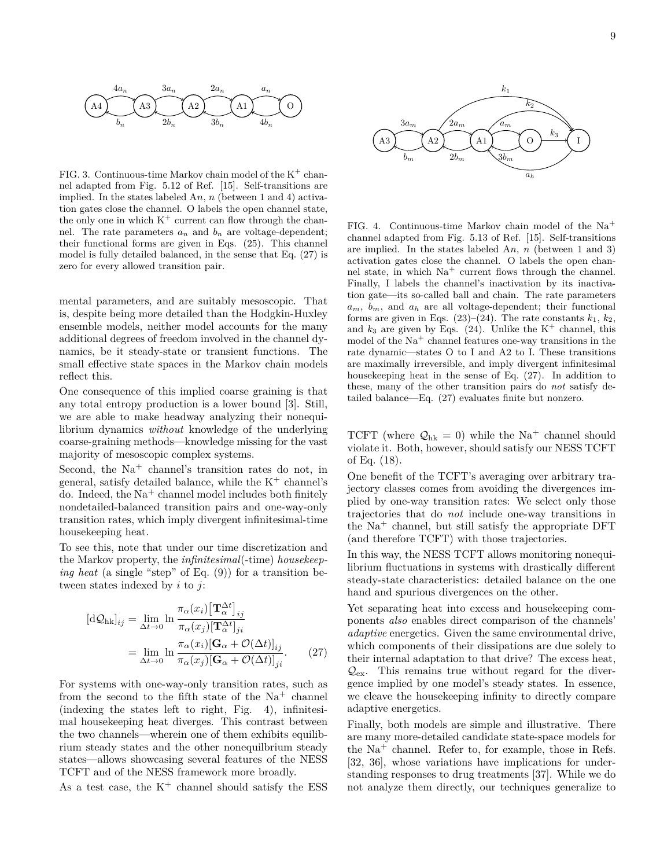

FIG. 3. Continuous-time Markov chain model of the  $K^+$  channel adapted from Fig. 5.12 of Ref. [15]. Self-transitions are implied. In the states labeled A*n*, *n* (between 1 and 4) activation gates close the channel. O labels the open channel state, the only one in which  $K^+$  current can flow through the channel. The rate parameters  $a_n$  and  $b_n$  are voltage-dependent; their functional forms are given in Eqs. (25). This channel model is fully detailed balanced, in the sense that Eq. (27) is zero for every allowed transition pair.

mental parameters, and are suitably mesoscopic. That is, despite being more detailed than the Hodgkin-Huxley ensemble models, neither model accounts for the many additional degrees of freedom involved in the channel dynamics, be it steady-state or transient functions. The small effective state spaces in the Markov chain models reflect this.

One consequence of this implied coarse graining is that any total entropy production is a lower bound [3]. Still, we are able to make headway analyzing their nonequilibrium dynamics *without* knowledge of the underlying coarse-graining methods—knowledge missing for the vast majority of mesoscopic complex systems.

Second, the  $Na<sup>+</sup>$  channel's transition rates do not, in general, satisfy detailed balance, while the  $K^+$  channel's do. Indeed, the  $Na<sup>+</sup>$  channel model includes both finitely nondetailed-balanced transition pairs and one-way-only transition rates, which imply divergent infinitesimal-time housekeeping heat.

To see this, note that under our time discretization and the Markov property, the *infinitesimal*(-time) *housekeeping heat* (a single "step" of Eq. (9)) for a transition between states indexed by *i* to *j*:

$$
[d\mathcal{Q}_{hk}]_{ij} = \lim_{\Delta t \to 0} \ln \frac{\pi_{\alpha}(x_i) [\mathbf{T}_{\alpha}^{\Delta t}]_{ij}}{\pi_{\alpha}(x_j) [\mathbf{T}_{\alpha}^{\Delta t}]_{ji}}
$$

$$
= \lim_{\Delta t \to 0} \ln \frac{\pi_{\alpha}(x_i) [\mathbf{G}_{\alpha} + \mathcal{O}(\Delta t)]_{ij}}{\pi_{\alpha}(x_j) [\mathbf{G}_{\alpha} + \mathcal{O}(\Delta t)]_{ji}}.
$$
(27)

For systems with one-way-only transition rates, such as from the second to the fifth state of the  $Na<sup>+</sup>$  channel (indexing the states left to right, Fig. 4), infinitesimal housekeeping heat diverges. This contrast between the two channels—wherein one of them exhibits equilibrium steady states and the other nonequilbrium steady states—allows showcasing several features of the NESS TCFT and of the NESS framework more broadly.



FIG. 2. Contrastence Varios channel at the K+ channel statisfy the case of the K+ channel should satisfy the Contrast case of the K+ channel statisfy the Contrast control of the K+ channel statisfy the Contrast control of FIG. 4. Continuous-time Markov chain model of the  $Na<sup>+</sup>$ channel adapted from Fig. 5.13 of Ref. [15]. Self-transitions are implied. In the states labeled A*n*, *n* (between 1 and 3) activation gates close the channel. O labels the open channel state, in which  $Na<sup>+</sup>$  current flows through the channel. Finally, I labels the channel's inactivation by its inactivation gate—its so-called ball and chain. The rate parameters  $a_m$ ,  $b_m$ , and  $a_h$  are all voltage-dependent; their functional forms are given in Eqs.  $(23)$ – $(24)$ . The rate constants  $k_1, k_2$ , and  $k_3$  are given by Eqs. (24). Unlike the  $K^+$  channel, this model of the  $Na<sup>+</sup>$  channel features one-way transitions in the rate dynamic—states O to I and A2 to I. These transitions are maximally irreversible, and imply divergent infinitesimal housekeeping heat in the sense of Eq. (27). In addition to these, many of the other transition pairs do *not* satisfy detailed balance—Eq. (27) evaluates finite but nonzero.

TCFT (where  $\mathcal{Q}_{hk} = 0$ ) while the Na<sup>+</sup> channel should violate it. Both, however, should satisfy our NESS TCFT of Eq. (18).

One benefit of the TCFT's averaging over arbitrary trajectory classes comes from avoiding the divergences implied by one-way transition rates: We select only those trajectories that do *not* include one-way transitions in the  $Na<sup>+</sup>$  channel, but still satisfy the appropriate DFT (and therefore TCFT) with those trajectories.

In this way, the NESS TCFT allows monitoring nonequilibrium fluctuations in systems with drastically different steady-state characteristics: detailed balance on the one hand and spurious divergences on the other.

Yet separating heat into excess and housekeeping components *also* enables direct comparison of the channels' *adaptive* energetics. Given the same environmental drive, which components of their dissipations are due solely to their internal adaptation to that drive? The excess heat,  $\mathcal{Q}_{\text{ex}}$ . This remains true without regard for the divergence implied by one model's steady states. In essence, we cleave the housekeeping infinity to directly compare adaptive energetics.

Finally, both models are simple and illustrative. There are many more-detailed candidate state-space models for the  $Na<sup>+</sup>$  channel. Refer to, for example, those in Refs. [32, 36], whose variations have implications for understanding responses to drug treatments [37]. While we do not analyze them directly, our techniques generalize to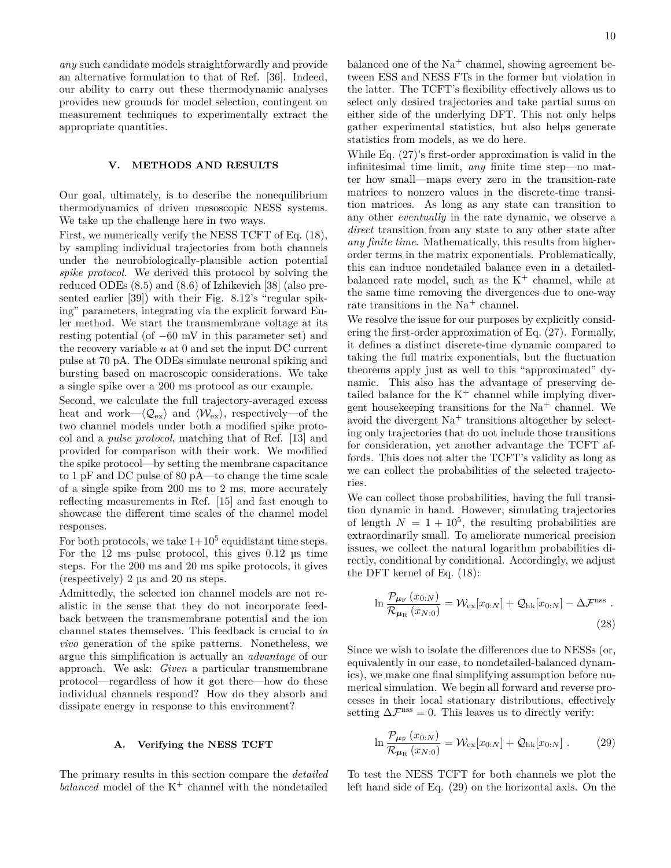*any* such candidate models straightforwardly and provide an alternative formulation to that of Ref. [36]. Indeed, our ability to carry out these thermodynamic analyses provides new grounds for model selection, contingent on measurement techniques to experimentally extract the appropriate quantities.

# **V. METHODS AND RESULTS**

Our goal, ultimately, is to describe the nonequilibrium thermodynamics of driven mesoscopic NESS systems. We take up the challenge here in two ways.

First, we numerically verify the NESS TCFT of Eq. (18), by sampling individual trajectories from both channels under the neurobiologically-plausible action potential *spike protocol*. We derived this protocol by solving the reduced ODEs (8.5) and (8.6) of Izhikevich [38] (also presented earlier [39]) with their Fig. 8.12's "regular spiking" parameters, integrating via the explicit forward Euler method. We start the transmembrane voltage at its resting potential (of −60 mV in this parameter set) and the recovery variable *u* at 0 and set the input DC current pulse at 70 pA. The ODEs simulate neuronal spiking and bursting based on macroscopic considerations. We take a single spike over a 200 ms protocol as our example.

Second, we calculate the full trajectory-averaged excess heat and work— $\langle \mathcal{Q}_{ex} \rangle$  and  $\langle \mathcal{W}_{ex} \rangle$ , respectively—of the two channel models under both a modified spike protocol and a *pulse protocol*, matching that of Ref. [13] and provided for comparison with their work. We modified the spike protocol—by setting the membrane capacitance to 1 pF and DC pulse of 80 pA—to change the time scale of a single spike from 200 ms to 2 ms, more accurately reflecting measurements in Ref. [15] and fast enough to showcase the different time scales of the channel model responses.

For both protocols, we take  $1+10^5$  equidistant time steps. For the 12 ms pulse protocol, this gives 0*.*12 µs time steps. For the 200 ms and 20 ms spike protocols, it gives (respectively) 2 µs and 20 ns steps.

Admittedly, the selected ion channel models are not realistic in the sense that they do not incorporate feedback between the transmembrane potential and the ion channel states themselves. This feedback is crucial to *in vivo* generation of the spike patterns. Nonetheless, we argue this simplification is actually an *advantage* of our approach. We ask: *Given* a particular transmembrane protocol—regardless of how it got there—how do these individual channels respond? How do they absorb and dissipate energy in response to this environment?

#### **A. Verifying the NESS TCFT**

The primary results in this section compare the *detailed balanced* model of the  $K^+$  channel with the nondetailed

balanced one of the  $Na<sup>+</sup>$  channel, showing agreement between ESS and NESS FTs in the former but violation in the latter. The TCFT's flexibility effectively allows us to select only desired trajectories and take partial sums on either side of the underlying DFT. This not only helps gather experimental statistics, but also helps generate statistics from models, as we do here.

While Eq. (27)'s first-order approximation is valid in the infinitesimal time limit, *any* finite time step—no matter how small—maps every zero in the transition-rate matrices to nonzero values in the discrete-time transition matrices. As long as any state can transition to any other *eventually* in the rate dynamic, we observe a *direct* transition from any state to any other state after *any finite time*. Mathematically, this results from higherorder terms in the matrix exponentials. Problematically, this can induce nondetailed balance even in a detailedbalanced rate model, such as the  $K^+$  channel, while at the same time removing the divergences due to one-way rate transitions in the  $Na<sup>+</sup>$  channel.

We resolve the issue for our purposes by explicitly considering the first-order approximation of Eq. (27). Formally, it defines a distinct discrete-time dynamic compared to taking the full matrix exponentials, but the fluctuation theorems apply just as well to this "approximated" dynamic. This also has the advantage of preserving detailed balance for the  $K^+$  channel while implying divergent housekeeping transitions for the  $Na<sup>+</sup>$  channel. We avoid the divergent  $Na<sup>+</sup>$  transitions altogether by selecting only trajectories that do not include those transitions for consideration, yet another advantage the TCFT affords. This does not alter the TCFT's validity as long as we can collect the probabilities of the selected trajectories.

We can collect those probabilities, having the full transition dynamic in hand. However, simulating trajectories of length  $N = 1 + 10^5$ , the resulting probabilities are extraordinarily small. To ameliorate numerical precision issues, we collect the natural logarithm probabilities directly, conditional by conditional. Accordingly, we adjust the DFT kernel of Eq. (18):

$$
\ln \frac{\mathcal{P}_{\mu_{\rm F}}(x_{0:N})}{\mathcal{R}_{\mu_{\rm R}}(x_{N:0})} = \mathcal{W}_{\rm ex}[x_{0:N}] + \mathcal{Q}_{\rm hk}[x_{0:N}] - \Delta \mathcal{F}^{\rm nss} \ .
$$
\n(28)

Since we wish to isolate the differences due to NESSs (or, equivalently in our case, to nondetailed-balanced dynamics), we make one final simplifying assumption before numerical simulation. We begin all forward and reverse processes in their local stationary distributions, effectively setting  $\Delta \mathcal{F}^{\text{nss}} = 0$ . This leaves us to directly verify:

$$
\ln \frac{\mathcal{P}_{\mu_{\rm F}}(x_{0:N})}{\mathcal{R}_{\mu_{\rm R}}(x_{N:0})} = \mathcal{W}_{\rm ex}[x_{0:N}] + \mathcal{Q}_{\rm hk}[x_{0:N}] \ . \tag{29}
$$

To test the NESS TCFT for both channels we plot the left hand side of Eq. (29) on the horizontal axis. On the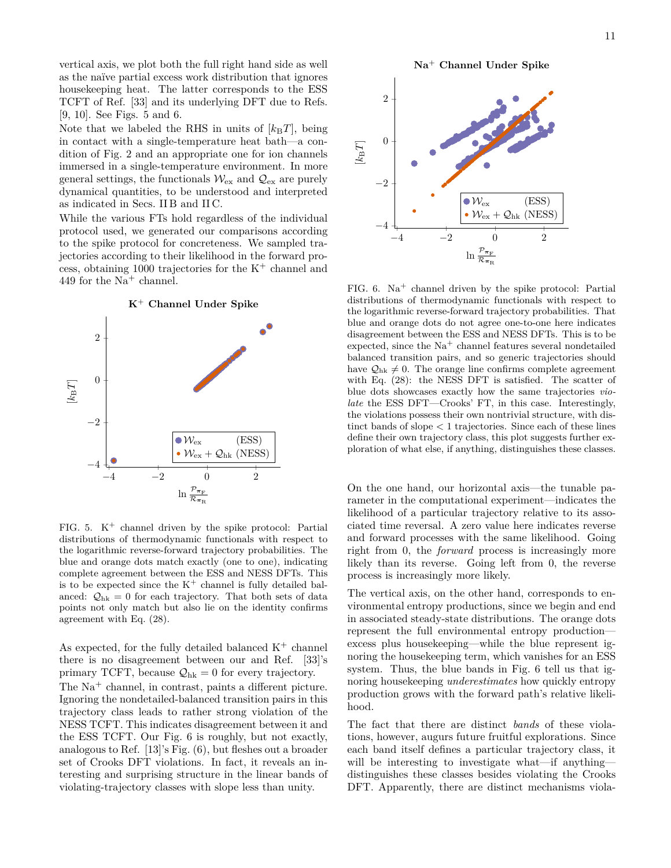vertical axis, we plot both the full right hand side as well as the naïve partial excess work distribution that ignores housekeeping heat. The latter corresponds to the ESS TCFT of Ref. [33] and its underlying DFT due to Refs. [9, 10]. See Figs. 5 and 6.

Note that we labeled the RHS in units of  $[k_BT]$ , being in contact with a single-temperature heat bath—a condition of Fig. 2 and an appropriate one for ion channels immersed in a single-temperature environment. In more general settings, the functionals  $\mathcal{W}_{\rm ex}$  and  $\mathcal{Q}_{\rm ex}$  are purely dynamical quantities, to be understood and interpreted as indicated in Secs. II B and II C.

While the various FTs hold regardless of the individual protocol used, we generated our comparisons according to the spike protocol for concreteness. We sampled trajectories according to their likelihood in the forward process, obtaining 1000 trajectories for the  $K^+$  channel and 449 for the  $Na<sup>+</sup>$  channel.



FIG. 5.  $K^+$  channel driven by the spike protocol: Partial distributions of thermodynamic functionals with respect to the logarithmic reverse-forward trajectory probabilities. The blue and orange dots match exactly (one to one), indicating complete agreement between the ESS and NESS DFTs. This is to be expected since the  $K^+$  channel is fully detailed balanced:  $\mathcal{Q}_{hk} = 0$  for each trajectory. That both sets of data points not only match but also lie on the identity confirms agreement with Eq. (28).

As expected, for the fully detailed balanced  $K^+$  channel there is no disagreement between our and Ref. [33]'s primary TCFT, because  $\mathcal{Q}_{hk} = 0$  for every trajectory. The Na<sup>+</sup> channel, in contrast, paints a different picture. Ignoring the nondetailed-balanced transition pairs in this trajectory class leads to rather strong violation of the NESS TCFT. This indicates disagreement between it and the ESS TCFT. Our Fig. 6 is roughly, but not exactly, analogous to Ref. [13]'s Fig. (6), but fleshes out a broader set of Crooks DFT violations. In fact, it reveals an interesting and surprising structure in the linear bands of violating-trajectory classes with slope less than unity.

Na<sup>+</sup> Channel Under Spike



FIG. 6.  $Na<sup>+</sup>$  channel driven by the spike protocol: Partial distributions of thermodynamic functionals with respect to the logarithmic reverse-forward trajectory probabilities. That blue and orange dots do not agree one-to-one here indicates disagreement between the ESS and NESS DFTs. This is to be expected, since the  $Na<sup>+</sup>$  channel features several nondetailed balanced transition pairs, and so generic trajectories should have  $\mathcal{Q}_{hk} \neq 0$ . The orange line confirms complete agreement with Eq. (28): the NESS DFT is satisfied. The scatter of blue dots showcases exactly how the same trajectories *violate* the ESS DFT—Crooks' FT, in this case. Interestingly, the violations possess their own nontrivial structure, with distinct bands of slope *<* 1 trajectories. Since each of these lines define their own trajectory class, this plot suggests further exploration of what else, if anything, distinguishes these classes.

On the one hand, our horizontal axis—the tunable parameter in the computational experiment—indicates the likelihood of a particular trajectory relative to its associated time reversal. A zero value here indicates reverse and forward processes with the same likelihood. Going right from 0, the *forward* process is increasingly more likely than its reverse. Going left from 0, the reverse process is increasingly more likely.

The vertical axis, on the other hand, corresponds to environmental entropy productions, since we begin and end in associated steady-state distributions. The orange dots represent the full environmental entropy production excess plus housekeeping—while the blue represent ignoring the housekeeping term, which vanishes for an ESS system. Thus, the blue bands in Fig. 6 tell us that ignoring housekeeping *underestimates* how quickly entropy production grows with the forward path's relative likelihood.

The fact that there are distinct *bands* of these violations, however, augurs future fruitful explorations. Since each band itself defines a particular trajectory class, it will be interesting to investigate what—if anything distinguishes these classes besides violating the Crooks DFT. Apparently, there are distinct mechanisms viola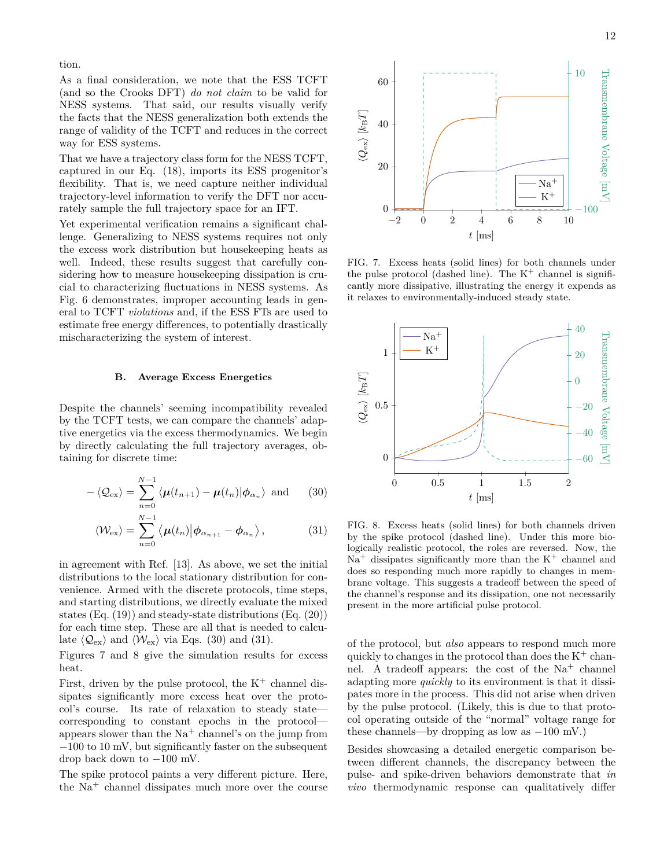tion.

As a final consideration, we note that the ESS TCFT (and so the Crooks DFT) *do not claim* to be valid for NESS systems. That said, our results visually verify the facts that the NESS generalization both extends the range of validity of the TCFT and reduces in the correct way for ESS systems.

That we have a trajectory class form for the NESS TCFT, captured in our Eq. (18), imports its ESS progenitor's flexibility. That is, we need capture neither individual trajectory-level information to verify the DFT nor accurately sample the full trajectory space for an IFT.

Yet experimental verification remains a significant challenge. Generalizing to NESS systems requires not only the excess work distribution but housekeeping heats as well. Indeed, these results suggest that carefully considering how to measure housekeeping dissipation is crucial to characterizing fluctuations in NESS systems. As Fig. 6 demonstrates, improper accounting leads in general to TCFT *violations* and, if the ESS FTs are used to estimate free energy differences, to potentially drastically mischaracterizing the system of interest.

# **B. Average Excess Energetics**

Despite the channels' seeming incompatibility revealed by the TCFT tests, we can compare the channels' adaptive energetics via the excess thermodynamics. We begin by directly calculating the full trajectory averages, obtaining for discrete time:

$$
-\langle \mathcal{Q}_{\text{ex}} \rangle = \sum_{n=0}^{N-1} \langle \mu(t_{n+1}) - \mu(t_n) | \phi_{\alpha_n} \rangle \text{ and } (30)
$$

$$
\langle \mathcal{W}_{\rm ex} \rangle = \sum_{n=0}^{N-1} \langle \boldsymbol{\mu}(t_n) | \boldsymbol{\phi}_{\alpha_{n+1}} - \boldsymbol{\phi}_{\alpha_n} \rangle, \qquad (31)
$$

in agreement with Ref. [13]. As above, we set the initial distributions to the local stationary distribution for convenience. Armed with the discrete protocols, time steps, and starting distributions, we directly evaluate the mixed states (Eq. (19)) and steady-state distributions (Eq. (20)) for each time step. These are all that is needed to calculate  $\langle \mathcal{Q}_{\text{ex}} \rangle$  and  $\langle \mathcal{W}_{\text{ex}} \rangle$  via Eqs. (30) and (31).

Figures 7 and 8 give the simulation results for excess heat.

First, driven by the pulse protocol, the  $K^+$  channel dissipates significantly more excess heat over the protocol's course. Its rate of relaxation to steady state corresponding to constant epochs in the protocol appears slower than the  $Na<sup>+</sup>$  channel's on the jump from −100 to 10 mV, but significantly faster on the subsequent drop back down to −100 mV.

The spike protocol paints a very different picture. Here, the  $Na<sup>+</sup>$  channel dissipates much more over the course



FIG. 7. Excess heats (solid lines) for both channels under the pulse protocol (dashed line). The  $K^+$  channel is significantly more dissipative, illustrating the energy it expends as it relaxes to environmentally-induced steady state.



FIG. 8. Excess heats (solid lines) for both channels driven by the spike protocol (dashed line). Under this more biologically realistic protocol, the roles are reversed. Now, the  $Na<sup>+</sup>$  dissipates significantly more than the  $K<sup>+</sup>$  channel and does so responding much more rapidly to changes in membrane voltage. This suggests a tradeoff between the speed of the channel's response and its dissipation, one not necessarily present in the more artificial pulse protocol.

of the protocol, but *also* appears to respond much more quickly to changes in the protocol than does the  $K^+$  channel. A tradeoff appears: the cost of the  $Na<sup>+</sup>$  channel adapting more *quickly* to its environment is that it dissipates more in the process. This did not arise when driven by the pulse protocol. (Likely, this is due to that protocol operating outside of the "normal" voltage range for these channels—by dropping as low as −100 mV.)

Besides showcasing a detailed energetic comparison between different channels, the discrepancy between the pulse- and spike-driven behaviors demonstrate that *in vivo* thermodynamic response can qualitatively differ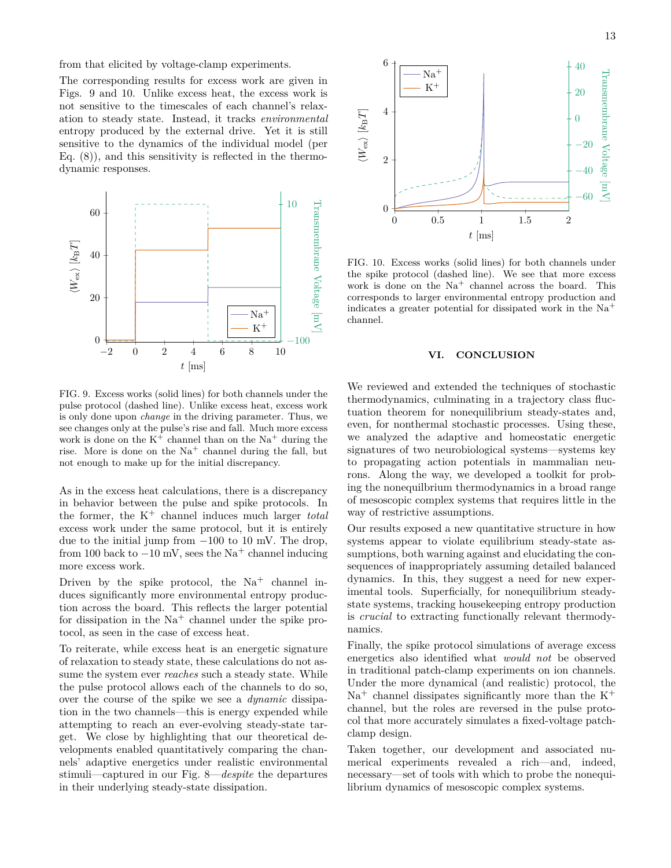from that elicited by voltage-clamp experiments.

The corresponding results for excess work are given in Figs. 9 and 10. Unlike excess heat, the excess work is not sensitive to the timescales of each channel's relaxation to steady state. Instead, it tracks *environmental* entropy produced by the external drive. Yet it is still sensitive to the dynamics of the individual model (per Eq.  $(8)$ , and this sensitivity is reflected in the thermodynamic responses.



FIG. 9. Excess works (solid lines) for both channels under the pulse protocol (dashed line). Unlike excess heat, excess work is only done upon *change* in the driving parameter. Thus, we see changes only at the pulse's rise and fall. Much more excess work is done on the  $K^+$  channel than on the  $Na^+$  during the rise. More is done on the  $Na<sup>+</sup>$  channel during the fall, but not enough to make up for the initial discrepancy.

As in the excess heat calculations, there is a discrepancy in behavior between the pulse and spike protocols. In the former, the K<sup>+</sup> channel induces much larger *total* excess work under the same protocol, but it is entirely due to the initial jump from  $-100$  to 10 mV. The drop, from 100 back to  $-10$  mV, sees the Na<sup>+</sup> channel inducing more excess work.

Driven by the spike protocol, the  $Na<sup>+</sup>$  channel induces significantly more environmental entropy production across the board. This reflects the larger potential for dissipation in the  $Na<sup>+</sup>$  channel under the spike protocol, as seen in the case of excess heat.

To reiterate, while excess heat is an energetic signature of relaxation to steady state, these calculations do not assume the system ever *reaches* such a steady state. While the pulse protocol allows each of the channels to do so, over the course of the spike we see a *dynamic* dissipation in the two channels—this is energy expended while attempting to reach an ever-evolving steady-state target. We close by highlighting that our theoretical developments enabled quantitatively comparing the channels' adaptive energetics under realistic environmental stimuli—captured in our Fig. 8—*despite* the departures in their underlying steady-state dissipation.



FIG. 10. Excess works (solid lines) for both channels under the spike protocol (dashed line). We see that more excess work is done on the  $Na<sup>+</sup>$  channel across the board. This corresponds to larger environmental entropy production and indicates a greater potential for dissipated work in the  $Na<sup>+</sup>$ channel.

# **VI. CONCLUSION**

We reviewed and extended the techniques of stochastic thermodynamics, culminating in a trajectory class fluctuation theorem for nonequilibrium steady-states and, even, for nonthermal stochastic processes. Using these, we analyzed the adaptive and homeostatic energetic signatures of two neurobiological systems—systems key to propagating action potentials in mammalian neurons. Along the way, we developed a toolkit for probing the nonequilbrium thermodynamics in a broad range of mesoscopic complex systems that requires little in the way of restrictive assumptions.

Our results exposed a new quantitative structure in how systems appear to violate equilibrium steady-state assumptions, both warning against and elucidating the consequences of inappropriately assuming detailed balanced dynamics. In this, they suggest a need for new experimental tools. Superficially, for nonequilibrium steadystate systems, tracking housekeeping entropy production is *crucial* to extracting functionally relevant thermodynamics.

Finally, the spike protocol simulations of average excess energetics also identified what *would not* be observed in traditional patch-clamp experiments on ion channels. Under the more dynamical (and realistic) protocol, the  $Na<sup>+</sup>$  channel dissipates significantly more than the  $K<sup>+</sup>$ channel, but the roles are reversed in the pulse protocol that more accurately simulates a fixed-voltage patchclamp design.

Taken together, our development and associated numerical experiments revealed a rich—and, indeed, necessary—set of tools with which to probe the nonequilibrium dynamics of mesoscopic complex systems.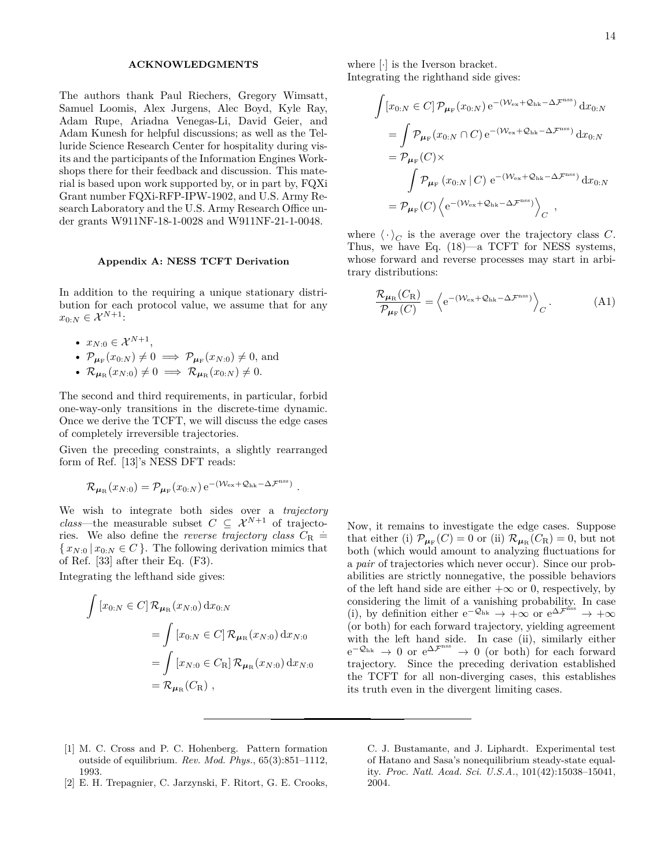### **ACKNOWLEDGMENTS**

The authors thank Paul Riechers, Gregory Wimsatt, Samuel Loomis, Alex Jurgens, Alec Boyd, Kyle Ray, Adam Rupe, Ariadna Venegas-Li, David Geier, and Adam Kunesh for helpful discussions; as well as the Telluride Science Research Center for hospitality during visits and the participants of the Information Engines Workshops there for their feedback and discussion. This material is based upon work supported by, or in part by, FQXi Grant number FQXi-RFP-IPW-1902, and U.S. Army Research Laboratory and the U.S. Army Research Office under grants W911NF-18-1-0028 and W911NF-21-1-0048.

#### **Appendix A: NESS TCFT Derivation**

In addition to the requiring a unique stationary distribution for each protocol value, we assume that for any  $x_{0:N} \in \mathcal{X}^{N+1}$ :

- $x_{N:0} \in \mathcal{X}^{N+1}$ ,
- $\mathcal{P}_{\mu_F}(x_{0:N}) \neq 0 \implies \mathcal{P}_{\mu_F}(x_{N:0}) \neq 0$ , and
- $\mathcal{R}_{\mu_R}(x_{N:0}) \neq 0 \implies \mathcal{R}_{\mu_R}(x_{0:N}) \neq 0.$

The second and third requirements, in particular, forbid one-way-only transitions in the discrete-time dynamic. Once we derive the TCFT, we will discuss the edge cases of completely irreversible trajectories.

Given the preceding constraints, a slightly rearranged form of Ref. [13]'s NESS DFT reads:

$$
\mathcal{R}_{\mu_{\mathrm{R}}}(x_{N:0}) = \mathcal{P}_{\mu_{\mathrm{F}}}(x_{0:N}) e^{-(\mathcal{W}_{\mathrm{ex}} + \mathcal{Q}_{\mathrm{hk}} - \Delta \mathcal{F}^{\mathrm{nss}})}
$$

*.*

We wish to integrate both sides over a *trajectory class*—the measurable subset  $C \subseteq \mathcal{X}^{N+1}$  of trajectories. We also define the *reverse trajectory class*  $\ddot{C}_{R}$  =  $\{ x_{N:0} | x_{0:N} \in C \}$ . The following derivation mimics that of Ref. [33] after their Eq. (F3).

Integrating the lefthand side gives:

$$
\int [x_{0:N} \in C] \mathcal{R}_{\mu_{\mathcal{R}}}(x_{N:0}) dx_{0:N}
$$
  
= 
$$
\int [x_{0:N} \in C] \mathcal{R}_{\mu_{\mathcal{R}}}(x_{N:0}) dx_{N:0}
$$
  
= 
$$
\int [x_{N:0} \in C_{\mathcal{R}}] \mathcal{R}_{\mu_{\mathcal{R}}}(x_{N:0}) dx_{N:0}
$$
  
= 
$$
\mathcal{R}_{\mu_{\mathcal{R}}}(C_{\mathcal{R}}),
$$

where [·] is the Iverson bracket. Integrating the righthand side gives:

$$
\int [x_{0:N} \in C] \mathcal{P}_{\mu_{\mathrm{F}}}(x_{0:N}) e^{-(\mathcal{W}_{\mathrm{ex}} + \mathcal{Q}_{\mathrm{hk}} - \Delta \mathcal{F}^{\mathrm{nss}})} dx_{0:N}
$$
\n
$$
= \int \mathcal{P}_{\mu_{\mathrm{F}}}(x_{0:N} \cap C) e^{-(\mathcal{W}_{\mathrm{ex}} + \mathcal{Q}_{\mathrm{hk}} - \Delta \mathcal{F}^{\mathrm{nss}})} dx_{0:N}
$$
\n
$$
= \mathcal{P}_{\mu_{\mathrm{F}}}(C) \times
$$
\n
$$
\int \mathcal{P}_{\mu_{\mathrm{F}}}(x_{0:N} | C) e^{-(\mathcal{W}_{\mathrm{ex}} + \mathcal{Q}_{\mathrm{hk}} - \Delta \mathcal{F}^{\mathrm{nss}})} dx_{0:N}
$$
\n
$$
= \mathcal{P}_{\mu_{\mathrm{F}}}(C) \left\langle e^{-(\mathcal{W}_{\mathrm{ex}} + \mathcal{Q}_{\mathrm{hk}} - \Delta \mathcal{F}^{\mathrm{nss}})} \right\rangle_C,
$$

where  $\langle \cdot \rangle_C$  is the average over the trajectory class *C*. Thus, we have Eq. (18)—a TCFT for NESS systems, whose forward and reverse processes may start in arbitrary distributions:

$$
\frac{\mathcal{R}_{\mu_{\rm R}}(C_{\rm R})}{\mathcal{P}_{\mu_{\rm F}}(C)} = \left\langle e^{-(\mathcal{W}_{\rm ex} + \mathcal{Q}_{\rm hk} - \Delta \mathcal{F}^{\rm nss})} \right\rangle_C. \tag{A1}
$$

Now, it remains to investigate the edge cases. Suppose that either (i)  $\mathcal{P}_{\mu_F}(C) = 0$  or (ii)  $\mathcal{R}_{\mu_R}(C_R) = 0$ , but not both (which would amount to analyzing fluctuations for a *pair* of trajectories which never occur). Since our probabilities are strictly nonnegative, the possible behaviors of the left hand side are either  $+\infty$  or 0, respectively, by considering the limit of a vanishing probability. In case (i), by definition either  $e^{-\mathcal{Q}_{hk}} \rightarrow +\infty$  or  $e^{\Delta \mathcal{F}^{\text{HSS}}} \rightarrow +\infty$ (or both) for each forward trajectory, yielding agreement with the left hand side. In case (ii), similarly either  $e^{-\mathcal{Q}_{hk}} \rightarrow 0$  or  $e^{\Delta \mathcal{F}^{nss}} \rightarrow 0$  (or both) for each forward trajectory. Since the preceding derivation established the TCFT for all non-diverging cases, this establishes its truth even in the divergent limiting cases.

- [1] M. C. Cross and P. C. Hohenberg. Pattern formation outside of equilibrium. *Rev. Mod. Phys.*, 65(3):851–1112, 1993.
- [2] E. H. Trepagnier, C. Jarzynski, F. Ritort, G. E. Crooks,

C. J. Bustamante, and J. Liphardt. Experimental test of Hatano and Sasa's nonequilibrium steady-state equality. *Proc. Natl. Acad. Sci. U.S.A.*, 101(42):15038–15041, 2004.